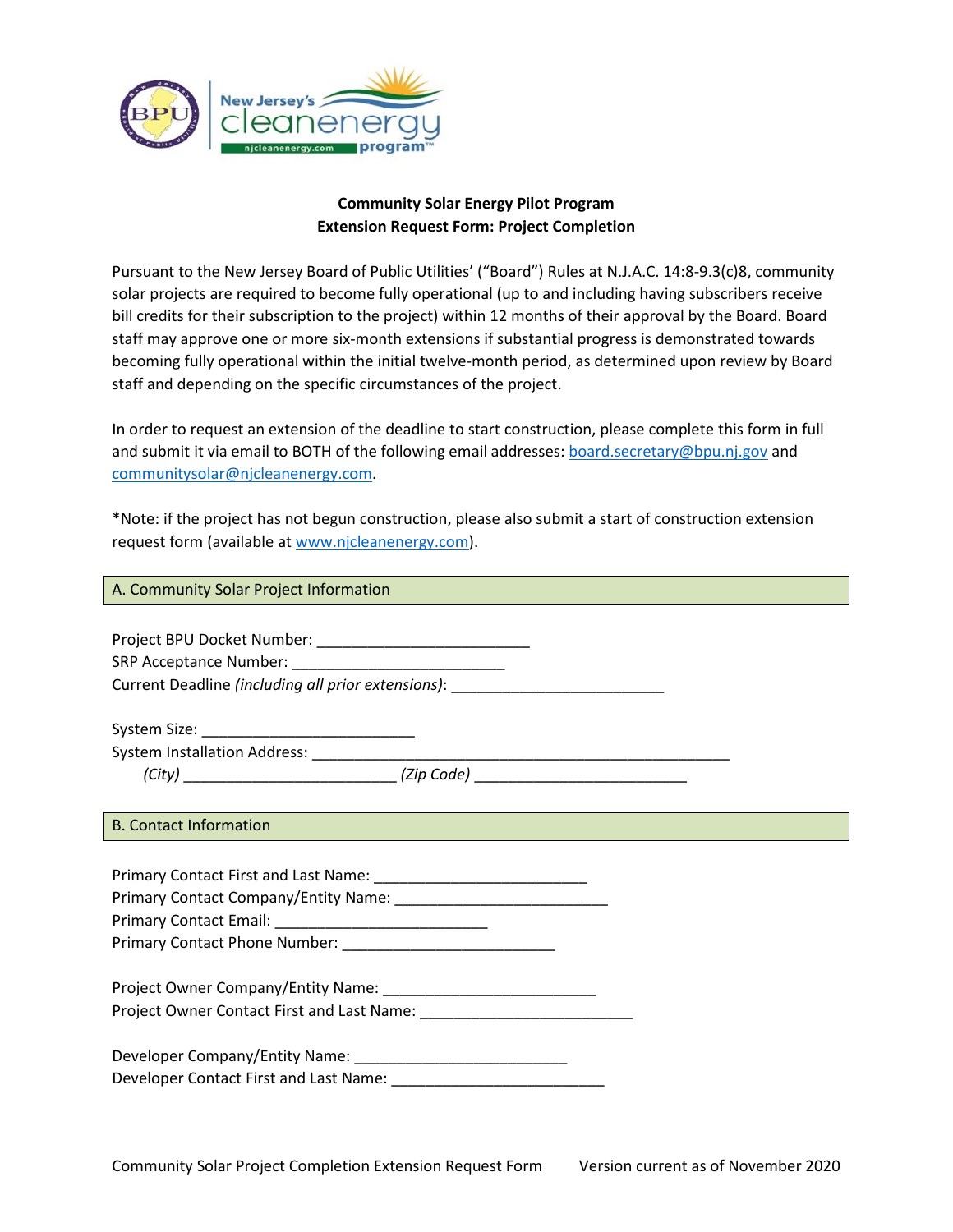

## **Community Solar Energy Pilot Program Extension Request Form: Project Completion**

Pursuant to the New Jersey Board of Public Utilities' ("Board") Rules at N.J.A.C. 14:8-9.3(c)8, community solar projects are required to become fully operational (up to and including having subscribers receive bill credits for their subscription to the project) within 12 months of their approval by the Board. Board staff may approve one or more six-month extensions if substantial progress is demonstrated towards becoming fully operational within the initial twelve-month period, as determined upon review by Board staff and depending on the specific circumstances of the project.

In order to request an extension of the deadline to start construction, please complete this form in full and submit it via email to BOTH of the following email addresses[: board.secretary@bpu.nj.gov](mailto:board.secretary@bpu.nj.gov) and [communitysolar@njcleanenergy.com.](mailto:communitysolar@njcleanenergy.com)

\*Note: if the project has not begun construction, please also submit a start of construction extension request form (available at [www.njcleanenergy.com\)](http://www.njcleanenergy.com/).

A. Community Solar Project Information

Project BPU Docket Number: \_\_\_\_\_\_\_\_\_\_\_\_\_\_\_\_\_\_\_\_\_\_\_\_\_

SRP Acceptance Number: \_\_\_\_\_\_\_\_\_\_\_\_\_\_\_\_\_\_\_\_\_\_\_\_\_

Current Deadline *(including all prior extensions)*: \_\_\_\_\_\_\_\_\_\_\_\_\_\_\_\_\_\_\_\_\_\_\_\_\_\_\_\_

System Size: \_\_\_\_\_\_\_\_\_\_\_\_\_\_\_\_\_\_\_\_\_\_\_\_\_

System Installation Address: \_\_\_\_\_\_\_\_\_\_\_\_\_\_\_\_\_\_\_\_\_\_\_\_\_\_\_\_\_\_\_\_\_\_\_\_\_\_\_\_\_\_\_\_\_\_\_\_\_

*(City)* \_\_\_\_\_\_\_\_\_\_\_\_\_\_\_\_\_\_\_\_\_\_\_\_\_ *(Zip Code)* \_\_\_\_\_\_\_\_\_\_\_\_\_\_\_\_\_\_\_\_\_\_\_\_\_

## B. Contact Information

Primary Contact First and Last Name: \_\_\_\_\_\_\_\_\_\_\_\_\_\_\_\_\_\_\_\_\_\_\_\_\_ Primary Contact Company/Entity Name: Primary Contact Email: Primary Contact Phone Number: Project Owner Company/Entity Name: \_\_\_\_\_\_\_\_\_\_\_\_\_\_\_\_\_\_\_\_\_\_\_\_\_ Project Owner Contact First and Last Name: \_\_\_\_\_\_\_\_\_\_\_\_\_\_\_\_\_\_\_\_\_\_\_\_\_ Developer Company/Entity Name: \_\_\_\_\_\_\_\_\_\_\_\_\_\_\_\_\_\_\_\_\_\_\_\_\_ Developer Contact First and Last Name: \_\_\_\_\_\_\_\_\_\_\_\_\_\_\_\_\_\_\_\_\_\_\_\_\_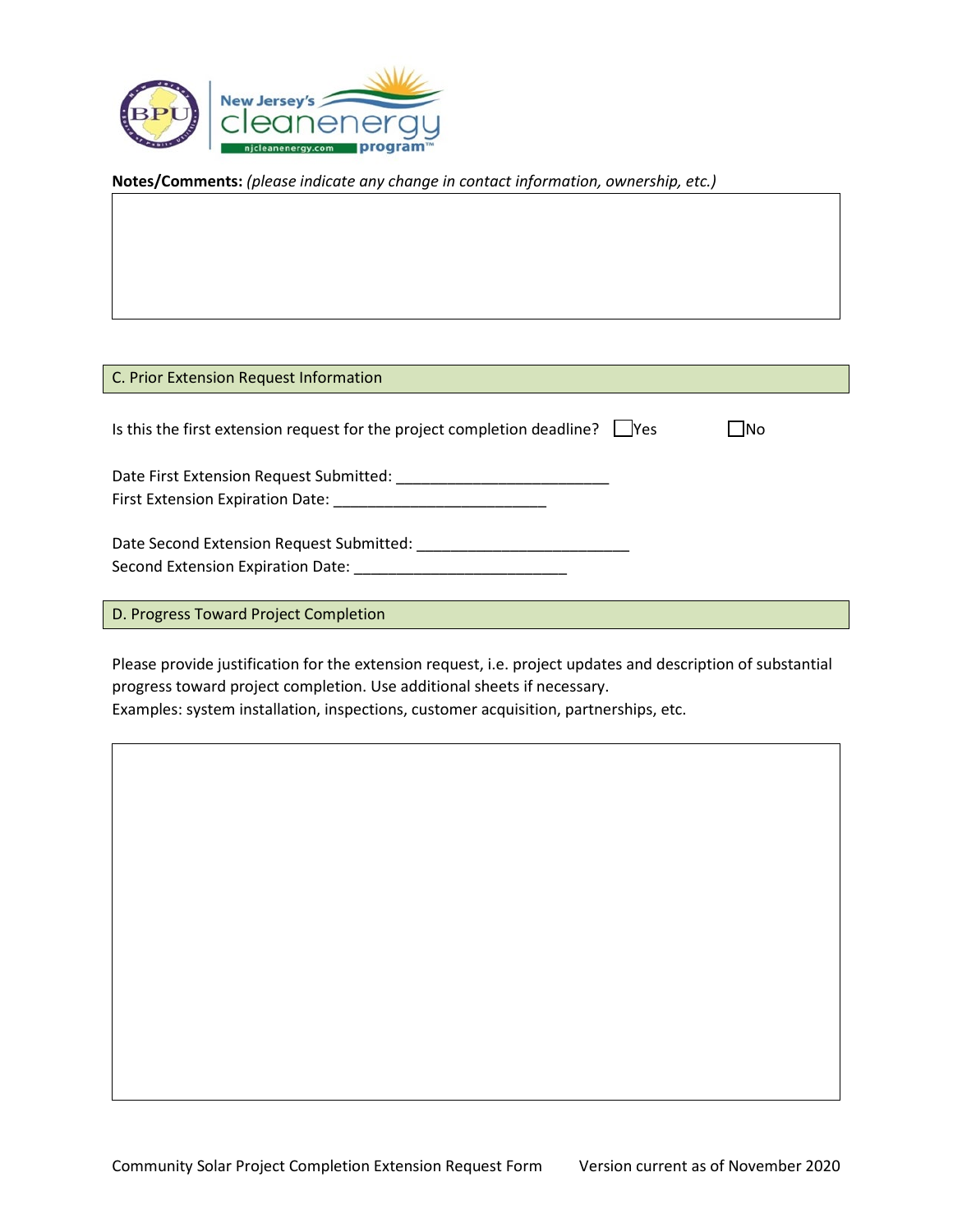

**Notes/Comments:** *(please indicate any change in contact information, ownership, etc.)*

| C. Prior Extension Request Information                                                                                                                                           |              |
|----------------------------------------------------------------------------------------------------------------------------------------------------------------------------------|--------------|
| Is this the first extension request for the project completion deadline? $\Box$ Yes                                                                                              | $\square$ No |
| Date First Extension Request Submitted: National System of The Case of The Case of The Case of The Case of The<br>First Extension Expiration Date: National Processor Contractor |              |
| Date Second Extension Request Submitted:<br>Second Extension Expiration Date:                                                                                                    |              |
| D. Progress Toward Project Completion                                                                                                                                            |              |

Please provide justification for the extension request, i.e. project updates and description of substantial progress toward project completion. Use additional sheets if necessary.

Examples: system installation, inspections, customer acquisition, partnerships, etc.